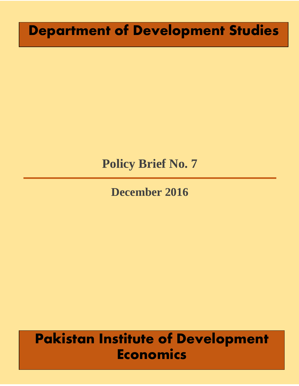# **Department of Development Studies**

# **Policy Brief No. 7**

# **December 2016**

# **Pakistan Institute of Development Economics**